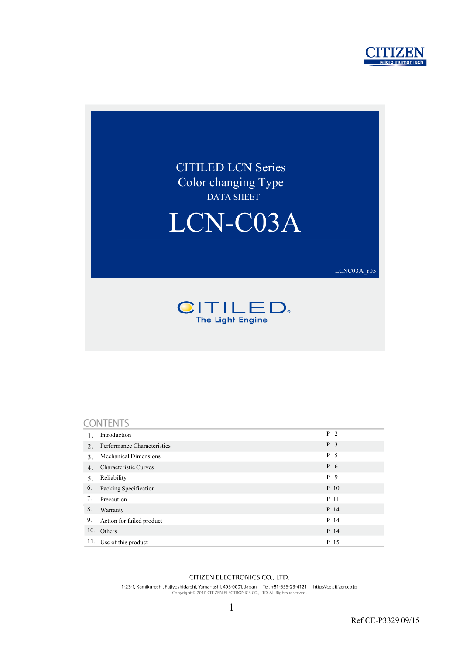



#### CONTENTS

|     | Introduction                 | P <sub>2</sub> |
|-----|------------------------------|----------------|
| 2.  | Performance Characteristics  | P <sub>3</sub> |
| 3.  | <b>Mechanical Dimensions</b> | P <sub>5</sub> |
| 4.  | Characteristic Curves        | P 6            |
| 5.  | Reliability                  | P<br>-9        |
| 6.  | Packing Specification        | P 10           |
| 7.  | Precaution                   | P 11           |
| 8.  | Warranty                     | P 14           |
| 9.  | Action for failed product    | P 14           |
| 10. | Others                       | P 14           |
| 11. | Use of this product          | P 15           |

#### CITIZEN ELECTRONICS CO., LTD.

1-23-1, Kamikurechi, Fujiyoshida-shi, Yamanashi, 403-0001, Japan Tel. +81-555-23-4121 http://ce.citizen.co.jp<br>Copyright © 2010 CITIZEN ELECTRONICS CO., LTD. All Rights reserved.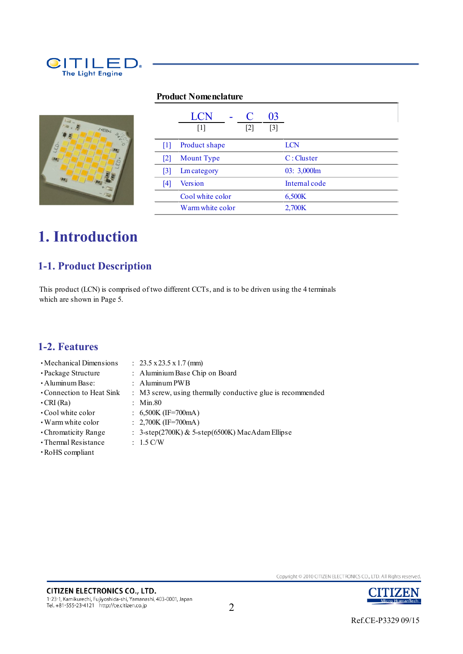

#### **Product Nomenclature**



|                   | LCN<br>$[1]$       | $[2]$ | 03<br>$[3]$ |               |
|-------------------|--------------------|-------|-------------|---------------|
| 111               | Product shape      |       |             | <b>LCN</b>    |
| $\lceil 2 \rceil$ | <b>Mount</b> Type  |       |             | C: Cluster    |
| $\lceil 3 \rceil$ | <b>Lm</b> category |       |             | 03: 3,000lm   |
| 14                | <b>Version</b>     |       |             | Internal code |
|                   | Cool white color   |       |             | 6,500K        |
|                   | Warm white color   |       |             | 2,700K        |

## **1. Introduction**

### **1-1. Product Description**

This product (LCN) is comprised of two different CCTs, and is to be driven using the 4 terminals which are shown in Page 5.

#### **1-2. Features**

- ・Mechanical Dimensions : 23.5 x 23.5 x 1.7 (mm)
	-
- 
- ・Package Structure : Aluminium Base Chip on Board
- ・Aluminum Base: : Aluminum PWB
- ・Connection to Heat Sink : M3 screw, using thermally conductive glue is recommended
- ・CRI (Ra) : Min.80
- ・Cool white color : 6,500K (IF=700mA)
- ・Warm white color : 2,700K (IF=700mA)
- ・Chromaticity Range : 3-step(2700K) & 5-step(6500K) MacAdam Ellipse
- ・Thermal Resistance : 1.5 C/W
- ・RoHS compliant

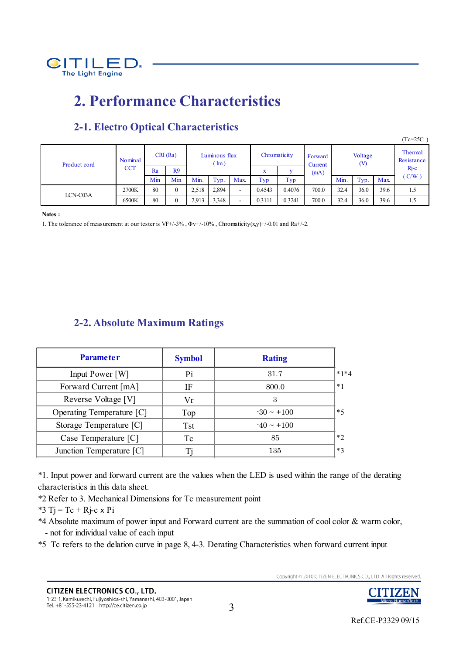

## **2. Performance Characteristics**

|              |            |     |              |                                |       |                          |        |                                           |       |      |      |            | $(Tc=25C)$ |                       |
|--------------|------------|-----|--------------|--------------------------------|-------|--------------------------|--------|-------------------------------------------|-------|------|------|------------|------------|-----------------------|
| Product cord | Nominal    |     | CRI(Ra)      | Luminous flux<br>$\text{Im}$ ) |       |                          |        | Chromaticity<br>Forward<br>(V)<br>Current |       |      |      | Voltage    |            | Thermal<br>Resistance |
|              | <b>CCT</b> | Ra  | R9           |                                |       | w<br>л                   |        | (mA)                                      |       |      |      | $Rj-c$     |            |                       |
|              |            | Min | Min          | Min.                           | Typ.  | Max.                     | Typ    | Typ                                       |       | Min. | Typ. | <b>Max</b> | (C/W)      |                       |
| LCN-C03A     | 2700K      | 80  | $\mathbf{0}$ | 2,518                          | 2,894 | $\overline{\phantom{a}}$ | 0.4543 | 0.4076                                    | 700.0 | 32.4 | 36.0 | 39.6       | 1.5        |                       |
|              | 6500K      | 80  | $\mathbf{0}$ | 2,913                          | 3,348 |                          | 0.3111 | 0.3241                                    | 700.0 | 32.4 | 36.0 | 39.6       | 1.5        |                       |

### **2-1. Electro Optical Characteristics**

**Notes :**

1. The tolerance of measurement at our tester is VF+/-3%,  $\Phi v$ +/-10%, Chromaticity(x,y)+/-0.01 and Ra+/-2.

#### **2-2. Absolute Maximum Ratings**

| <b>Parameter</b>          | <b>Symbol</b> | <b>Rating</b>   |        |
|---------------------------|---------------|-----------------|--------|
| Input Power [W]           | Pi            | 31.7            | $*1*4$ |
| Forward Current [mA]      | ΙF            | 800.0           | $*1$   |
| Reverse Voltage [V]       | Vr            | 3               |        |
| Operating Temperature [C] | Top           | $-30 \sim +100$ | $*5$   |
| Storage Temperature [C]   | <b>Tst</b>    | $-40 \sim +100$ |        |
| Case Temperature [C]      | Tc            | 85              | $*$    |
| Junction Temperature [C]  |               | 135             | $*3$   |

\*1. Input power and forward current are the values when the LED is used within the range of the derating characteristics in this data sheet.

\*2 Refer to 3. Mechanical Dimensions for Tc measurement point

\*3 Tj = Tc + Rj-c  $\times$  Pi

\*4 Absolute maximum of power input and Forward current are the summation of cool color & warm color, - not for individual value of each input

\*5 Tc refers to the delation curve in page 8, 4-3. Derating Characteristics when forward current input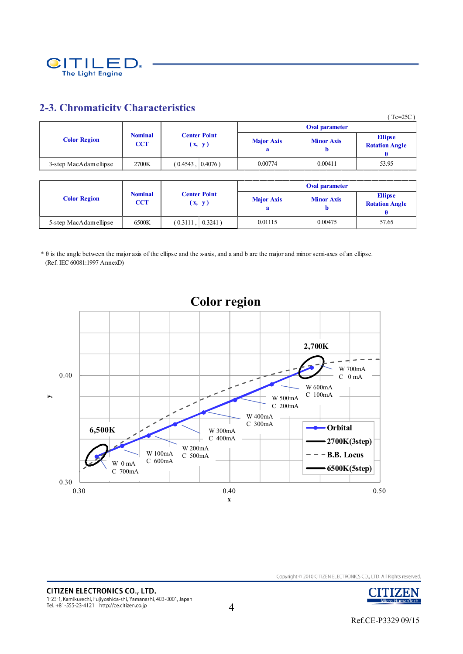

#### **2-3. Chromaticity Characteristics**

|                        |                              |                               |                   |                   | $(Tc=25C)$                              |
|------------------------|------------------------------|-------------------------------|-------------------|-------------------|-----------------------------------------|
|                        |                              |                               |                   | Oval parameter    |                                         |
| <b>Color Region</b>    | <b>Nominal</b><br><b>CCT</b> | <b>Center Point</b><br>(x, y) | <b>Major Axis</b> | <b>Minor Axis</b> | <b>Ellipse</b><br><b>Rotation Angle</b> |
| 3-step MacAdam ellipse | 2700K                        | $0.4076$ )<br>(0.4543,        | 0.00774           | 0.00411           | 53.95                                   |

|                        |                              |                               | Oval parameter    |                   |                                         |  |
|------------------------|------------------------------|-------------------------------|-------------------|-------------------|-----------------------------------------|--|
| <b>Color Region</b>    | <b>Nominal</b><br><b>CCT</b> | <b>Center Point</b><br>(x, y) | <b>Major Axis</b> | <b>Minor Axis</b> | <b>Ellipse</b><br><b>Rotation Angle</b> |  |
| 5-step MacAdam ellipse | 6500K                        | $0.3241$ )<br>$(0.3111)$ ,    | 0.01115           | 0.00475           | 57.65                                   |  |

\* θ is the angle between the major axis of the ellipse and the x-axis, and a and b are the major and minor semi-axes of an ellipse. (Ref. IEC 60081:1997 AnnexD)



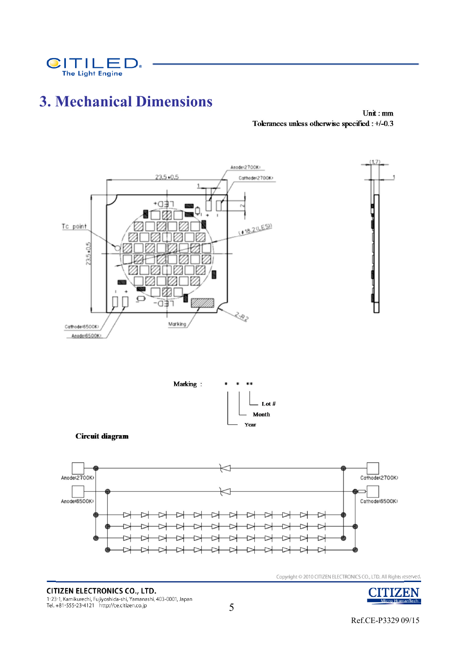

## **3. Mechanical Dimensions**

Unit:mm Tolerances unless otherwise specified : +/-0.3



**CITIZEN ELECTRONICS CO., LTD.** 1-23-1, Kamikurechi, Fujiyoshida-shi, Yamanashi, 403-0001, Japan<br>Tel. +81-555-23-4121 http://ce.citizen.co.jp



5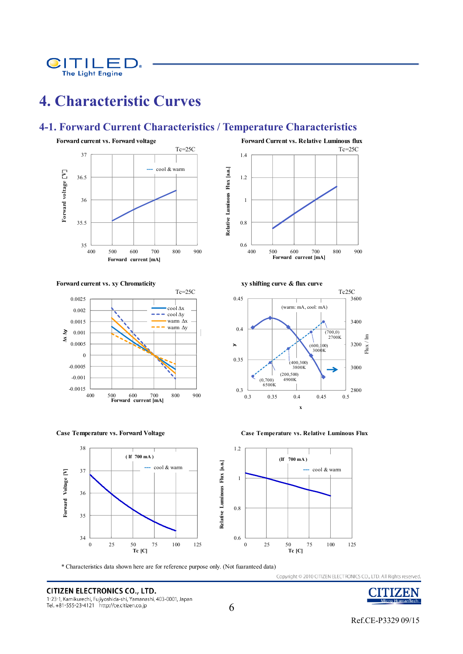

# **4. Characteristic Curves**

#### **4-1. Forward Current Characteristics / Temperature Characteristics**





**Case Temperature vs. Forward Voltage Case Temperature vs. Relative Luminous Flux**



Relative Luminous Flux [a.u.] **Relative Luminous Flux [a.u.]**  $0.6 \begin{array}{c} 0.6 \\ 400 \end{array}$ 400 500 600 700 800 900 **Forward current [mA] Forward current vs. xy Chromaticity and Solution 2 and Solution 2 and Solution 2 and Solution 2 and Solution 2 and Solution 2 and Solution 2 and Solution 2 and Solution 2 and Solution 2 and Solution 2 and Solution 2 and** Tc=25C Tc=25C 0.45 (warm: mA, cool: mA)

0.8

1

1.2

1.4



3600



\* Characteristics data shown here are for reference purpose only. (Not fuaranteed data)

**CITIZEN ELECTRONICS CO., LTD.** 1-23-1, Kamikurechi, Fujiyoshida-shi, Yamanashi, 403-0001, Japan Tel. +81-555-23-4121 http://ce.citizen.co.jp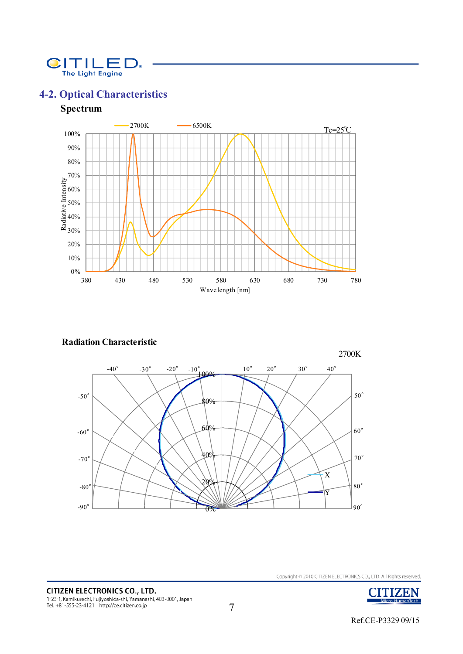

### **4-2. Optical Characteristics**

#### **Spectrum**



#### **Radiation Characteristic**





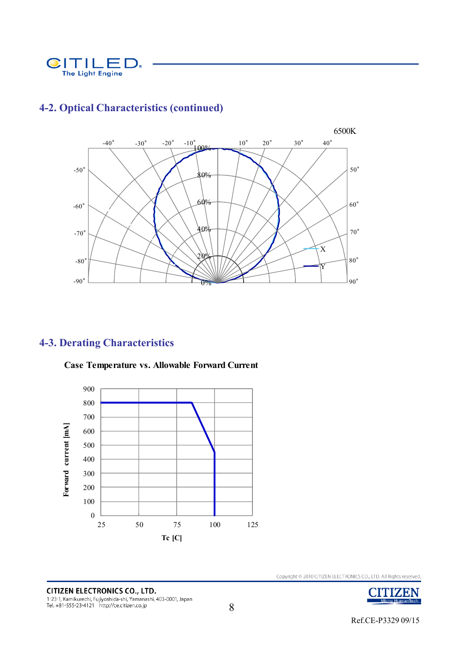



### **4-2. Optical Characteristics (continued)**

### **4-3. Derating Characteristics**



**Case Temperature vs. Allowable Forward Current**

**CITIZEN ELECTRONICS CO., LTD.** 1-23-1, Kamikurechi, Fujiyoshida-shi, Yamanashi, 403-0001, Japan<br>Tel. +81-555-23-4121 http://ce.citizen.co.jp

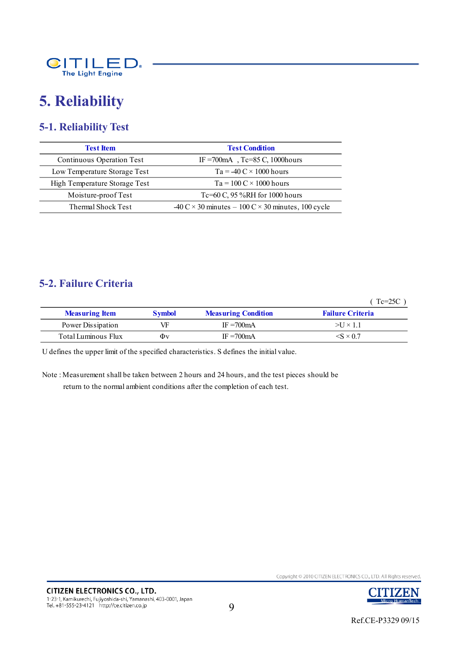

# **5. Reliability**

### **5-1. Reliability Test**

| <b>Test Item</b>              | <b>Test Condition</b>                                                                           |
|-------------------------------|-------------------------------------------------------------------------------------------------|
| Continuous Operation Test     | IF = 700 mA Tc=85 C, 1000 hours                                                                 |
| Low Temperature Storage Test  | $Ta = -40 C \times 1000$ hours                                                                  |
| High Temperature Storage Test | $Ta = 100 C \times 1000$ hours                                                                  |
| Moisture-proof Test           | Tc=60 C, 95 %RH for 1000 hours                                                                  |
| Thermal Shock Test            | $-40 \text{ C} \times 30 \text{ minutes} - 100 \text{ C} \times 30 \text{ minutes}$ , 100 cycle |

#### **5-2. Failure Criteria**

( Tc=25C )

| <b>Measuring Item</b> | <b>Symbol</b> | <b>Measuring Condition</b> | <b>Failure Criteria</b>  |
|-----------------------|---------------|----------------------------|--------------------------|
| Power Dissipation     | VF            | $IF = 700mA$               | $>U \times 1.1$          |
| Total Luminous Flux   | Φv            | IF $=700$ mA               | $\langle$ S $\times$ 0.7 |

U defines the upper limit of the specified characteristics. S defines the initial value.

Note : Measurement shall be taken between 2 hours and 24 hours, and the test pieces should be return to the normal ambient conditions after the completion of each test.

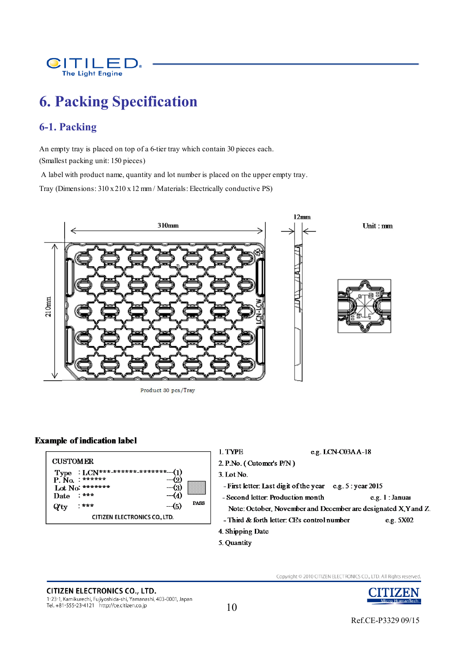

# **6. Packing Specification**

### **6-1. Packing**

An empty tray is placed on top of a 6-tier tray which contain 30 pieces each. (Smallest packing unit: 150 pieces)

A label with product name, quantity and lot number is placed on the upper empty tray.

Tray (Dimensions: 310 x 210 x 12 mm / Materials: Electrically conductive PS)



Product 30 pcs/Tray

#### **Example of indication label**

|                                                      | e.g. LCN- $C03AA-18$<br>l TYPE                                  |  |  |
|------------------------------------------------------|-----------------------------------------------------------------|--|--|
| <b>CUSTOMER</b>                                      | 2. P.No. (Cutomer's $P/N$ )                                     |  |  |
| $:LCN***************$ (1)<br>Type<br>$P. No.$ ****** | $3.$ Lot No.                                                    |  |  |
| Lot No: *******<br>$-3$                              | - First letter: Last digit of the year $e.g. 5: year 2015$      |  |  |
| $+ + +$<br>$-4$<br>Date                              | - Second letter: Production month<br>e.g. 1: Janua              |  |  |
| <b>PASS</b><br>$-5$<br>$7 * * *$<br>$Q'$ ty          | Note: October, November and December are designated X, Y and Z. |  |  |
| <b>CITIZEN ELECTRONICS CO., LTD.</b>                 | - Third & forth letter: CE's control number<br>e.g. 5X02        |  |  |
|                                                      | 4. Shipping Date                                                |  |  |

5. Quantity

**CITIZEN ELECTRONICS CO., LTD.** 1-23-1, Kamikurechi, Fujiyoshida-shi, Yamanashi, 403-0001, Japan<br>Tel. +81-555-23-4121 http://ce.citizen.co.jp

10

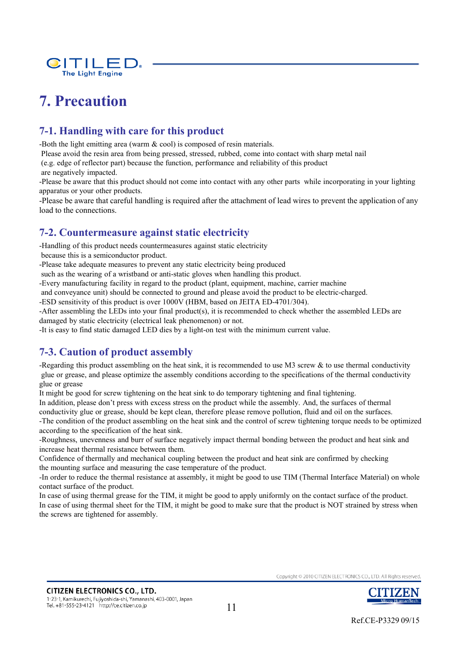

# **7. Precaution**

### **7-1. Handling with care for this product**

-Both the light emitting area (warm & cool) is composed of resin materials.

Please avoid the resin area from being pressed, stressed, rubbed, come into contact with sharp metal nail

(e.g. edge of reflector part) because the function, performance and reliability of this product

are negatively impacted.

-Please be aware that this product should not come into contact with any other parts while incorporating in your lighting apparatus or your other products.

-Please be aware that careful handling is required after the attachment of lead wires to prevent the application of any load to the connections.

#### **7-2. Countermeasure against static electricity**

-Handling of this product needs countermeasures against static electricity

because this is a semiconductor product.

-Please take adequate measures to prevent any static electricity being produced

such as the wearing of a wristband or anti-static gloves when handling this product.

-Every manufacturing facility in regard to the product (plant, equipment, machine, carrier machine

and conveyance unit) should be connected to ground and please avoid the product to be electric-charged.

-ESD sensitivity of this product is over 1000V (HBM, based on JEITA ED-4701/304).

-After assembling the LEDs into your final product(s), it is recommended to check whether the assembled LEDs are damaged by static electricity (electrical leak phenomenon) or not.

-It is easy to find static damaged LED dies by a light-on test with the minimum current value.

### **7-3. Caution of product assembly**

-Regarding this product assembling on the heat sink, it is recommended to use M3 screw  $\&$  to use thermal conductivity glue or grease, and please optimize the assembly conditions according to the specifications of the thermal conductivity glue or grease

It might be good for screw tightening on the heat sink to do temporary tightening and final tightening.

In addition, please don't press with excess stress on the product while the assembly. And, the surfaces of thermal

conductivity glue or grease, should be kept clean, therefore please remove pollution, fluid and oil on the surfaces.

-The condition of the product assembling on the heat sink and the control of screw tightening torque needs to be optimized according to the specification of the heat sink.

-Roughness, unevenness and burr of surface negatively impact thermal bonding between the product and heat sink and increase heat thermal resistance between them.

Confidence of thermally and mechanical coupling between the product and heat sink are confirmed by checking the mounting surface and measuring the case temperature of the product.

-In order to reduce the thermal resistance at assembly, it might be good to use TIM (Thermal Interface Material) on whole contact surface of the product.

In case of using thermal grease for the TIM, it might be good to apply uniformly on the contact surface of the product. In case of using thermal sheet for the TIM, it might be good to make sure that the product is NOT strained by stress when the screws are tightened for assembly.

Convright © 2010 CITIZEN ELECTRONICS CO., LTD. All Rights reserved

11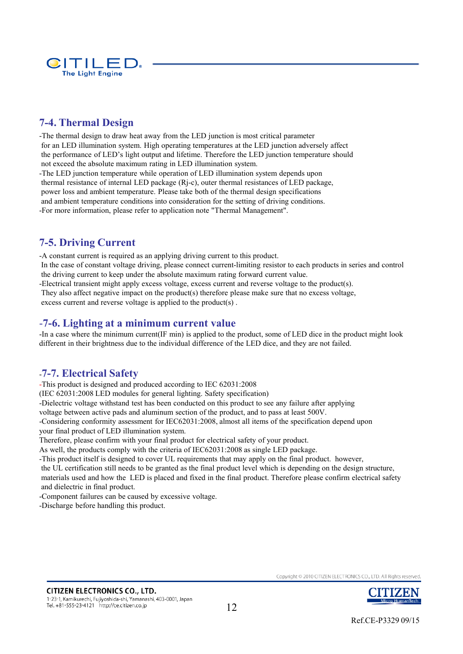

#### **7-4. Thermal Design**

-The thermal design to draw heat away from the LED junction is most critical parameter for an LED illumination system. High operating temperatures at the LED junction adversely affect the performance of LED's light output and lifetime. Therefore the LED junction temperature should not exceed the absolute maximum rating in LED illumination system. -The LED junction temperature while operation of LED illumination system depends upon thermal resistance of internal LED package (Rj-c), outer thermal resistances of LED package, power loss and ambient temperature. Please take both of the thermal design specifications and ambient temperature conditions into consideration for the setting of driving conditions. -For more information, please refer to application note "Thermal Management".

### **7-5. Driving Current**

-A constant current is required as an applying driving current to this product. In the case of constant voltage driving, please connect current-limiting resistor to each products in series and control the driving current to keep under the absolute maximum rating forward current value. -Electrical transient might apply excess voltage, excess current and reverse voltage to the product(s). They also affect negative impact on the product(s) therefore please make sure that no excess voltage, excess current and reverse voltage is applied to the product(s) .

#### -**7-6. Lighting at a minimum current value**

-In a case where the minimum current(IF min) is applied to the product, some of LED dice in the product might look different in their brightness due to the individual difference of the LED dice, and they are not failed.

#### -**7-7. Electrical Safety**

-This product is designed and produced according to IEC 62031:2008

(IEC 62031:2008 LED modules for general lighting. Safety specification)

-Dielectric voltage withstand test has been conducted on this product to see any failure after applying

voltage between active pads and aluminum section of the product, and to pass at least 500V.

-Considering conformity assessment for IEC62031:2008, almost all items of the specification depend upon your final product of LED illumination system.

Therefore, please confirm with your final product for electrical safety of your product.

As well, the products comply with the criteria of IEC62031:2008 as single LED package.

-This product itself is designed to cover UL requirements that may apply on the final product. however,

the UL certification still needs to be granted as the final product level which is depending on the design structure, materials used and how the LED is placed and fixed in the final product. Therefore please confirm electrical safety and dielectric in final product.

-Component failures can be caused by excessive voltage.

-Discharge before handling this product.

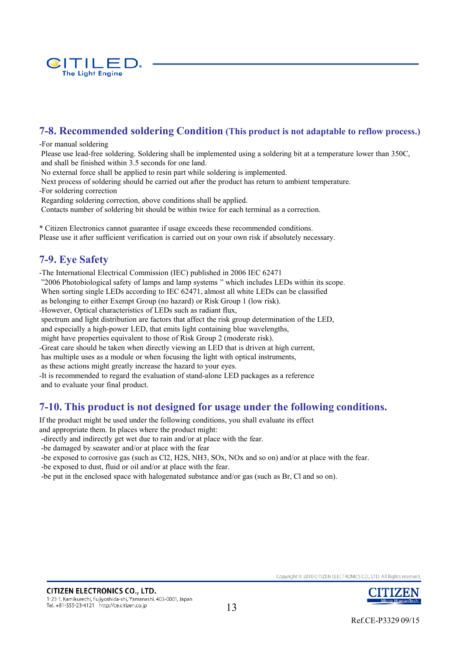

### **7-8. Recommended soldering Condition (This product is not adaptable to reflow process.)**

#### -For manual soldering

Please use lead-free soldering. Soldering shall be implemented using a soldering bit at a temperature lower than 350C, and shall be finished within 3.5 seconds for one land.

No external force shall be applied to resin part while soldering is implemented.

Next process of soldering should be carried out after the product has return to ambient temperature. -For soldering correction

Regarding soldering correction, above conditions shall be applied.

Contacts number of soldering bit should be within twice for each terminal as a correction.

\* Citizen Electronics cannot guarantee if usage exceeds these recommended conditions. Please use it after sufficient verification is carried out on your own risk if absolutely necessary.

#### **7-9. Eye Safety**

-The International Electrical Commission (IEC) published in 2006 IEC 62471 "2006 Photobiological safety of lamps and lamp systems " which includes LEDs within its scope. When sorting single LEDs according to IEC 62471, almost all white LEDs can be classified as belonging to either Exempt Group (no hazard) or Risk Group 1 (low risk). -However, Optical characteristics of LEDs such as radiant flux, spectrum and light distribution are factors that affect the risk group determination of the LED, and especially a high-power LED, that emits light containing blue wavelengths, might have properties equivalent to those of Risk Group 2 (moderate risk). -Great care should be taken when directly viewing an LED that is driven at high current, has multiple uses as a module or when focusing the light with optical instruments, as these actions might greatly increase the hazard to your eyes. -It is recommended to regard the evaluation of stand-alone LED packages as a reference and to evaluate your final product.

#### **7-10. This product is not designed for usage under the following conditions.**

If the product might be used under the following conditions, you shall evaluate its effect

and appropriate them. In places where the product might:

-directly and indirectly get wet due to rain and/or at place with the fear.

-be damaged by seawater and/or at place with the fear

-be exposed to corrosive gas (such as Cl2, H2S, NH3, SOx, NOx and so on) and/or at place with the fear. -be exposed to dust, fluid or oil and/or at place with the fear.

-be put in the enclosed space with halogenated substance and/or gas (such as Br, Cl and so on).



Ref.CE-P3329 09/15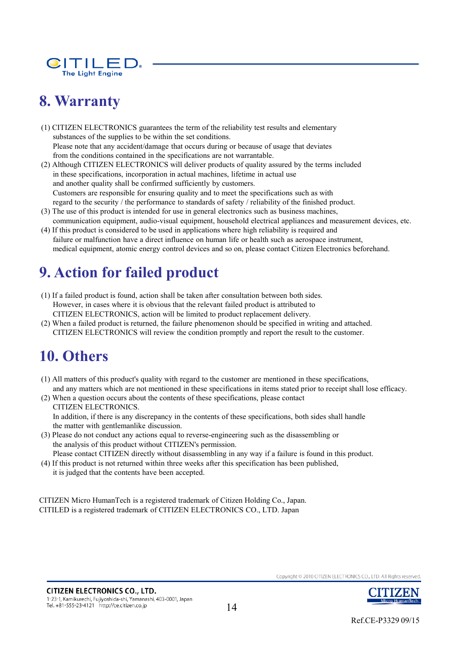

# **8. Warranty**

(1) CITIZEN ELECTRONICS guarantees the term of the reliability test results and elementary substances of the supplies to be within the set conditions. Please note that any accident/damage that occurs during or because of usage that deviates from the conditions contained in the specifications are not warrantable.

- (2) Although CITIZEN ELECTRONICS will deliver products of quality assured by the terms included in these specifications, incorporation in actual machines, lifetime in actual use and another quality shall be confirmed sufficiently by customers. Customers are responsible for ensuring quality and to meet the specifications such as with regard to the security / the performance to standards of safety / reliability of the finished product.
- (3) The use of this product is intended for use in general electronics such as business machines, communication equipment, audio-visual equipment, household electrical appliances and measurement devices, etc.
- (4) If this product is considered to be used in applications where high reliability is required and failure or malfunction have a direct influence on human life or health such as aerospace instrument, medical equipment, atomic energy control devices and so on, please contact Citizen Electronics beforehand.

# **9. Action for failed product**

- (1) If a failed product is found, action shall be taken after consultation between both sides. However, in cases where it is obvious that the relevant failed product is attributed to CITIZEN ELECTRONICS, action will be limited to product replacement delivery.
- (2) When a failed product is returned, the failure phenomenon should be specified in writing and attached. CITIZEN ELECTRONICS will review the condition promptly and report the result to the customer.

# **10. Others**

- (1) All matters of this product's quality with regard to the customer are mentioned in these specifications, and any matters which are not mentioned in these specifications in items stated prior to receipt shall lose efficacy.
- (2) When a question occurs about the contents of these specifications, please contact CITIZEN ELECTRONICS. In addition, if there is any discrepancy in the contents of these specifications, both sides shall handle the matter with gentlemanlike discussion.
- (3) Please do not conduct any actions equal to reverse-engineering such as the disassembling or the analysis of this product without CITIZEN's permission.

Please contact CITIZEN directly without disassembling in any way if a failure is found in this product.

(4) If this product is not returned within three weeks after this specification has been published, it is judged that the contents have been accepted.

CITIZEN Micro HumanTech is a registered trademark of Citizen Holding Co., Japan. CITILED is a registered trademark of CITIZEN ELECTRONICS CO., LTD. Japan

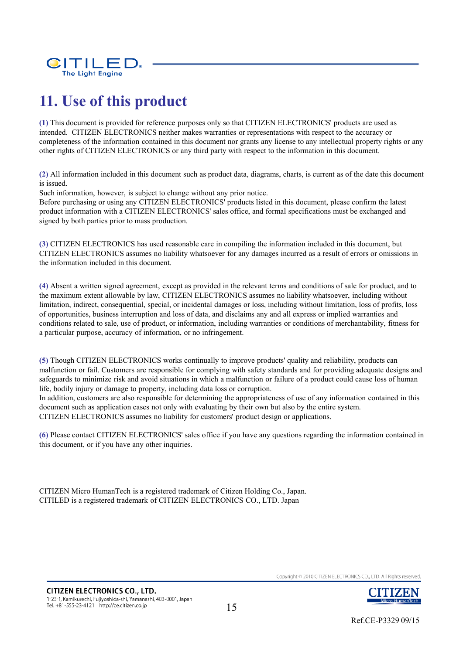

# **11. Use of this product**

**(1)** This document is provided for reference purposes only so that CITIZEN ELECTRONICS' products are used as intended. CITIZEN ELECTRONICS neither makes warranties or representations with respect to the accuracy or completeness of the information contained in this document nor grants any license to any intellectual property rights or any other rights of CITIZEN ELECTRONICS or any third party with respect to the information in this document.

**(2)** All information included in this document such as product data, diagrams, charts, is current as of the date this document is issued.

Such information, however, is subject to change without any prior notice.

Before purchasing or using any CITIZEN ELECTRONICS' products listed in this document, please confirm the latest product information with a CITIZEN ELECTRONICS' sales office, and formal specifications must be exchanged and signed by both parties prior to mass production.

**(3)** CITIZEN ELECTRONICS has used reasonable care in compiling the information included in this document, but CITIZEN ELECTRONICS assumes no liability whatsoever for any damages incurred as a result of errors or omissions in the information included in this document.

**(4)** Absent a written signed agreement, except as provided in the relevant terms and conditions of sale for product, and to the maximum extent allowable by law, CITIZEN ELECTRONICS assumes no liability whatsoever, including without limitation, indirect, consequential, special, or incidental damages or loss, including without limitation, loss of profits, loss of opportunities, business interruption and loss of data, and disclaims any and all express or implied warranties and conditions related to sale, use of product, or information, including warranties or conditions of merchantability, fitness for a particular purpose, accuracy of information, or no infringement.

**(5)** Though CITIZEN ELECTRONICS works continually to improve products' quality and reliability, products can malfunction or fail. Customers are responsible for complying with safety standards and for providing adequate designs and safeguards to minimize risk and avoid situations in which a malfunction or failure of a product could cause loss of human life, bodily injury or damage to property, including data loss or corruption.

In addition, customers are also responsible for determining the appropriateness of use of any information contained in this document such as application cases not only with evaluating by their own but also by the entire system. CITIZEN ELECTRONICS assumes no liability for customers' product design or applications.

**(6)** Please contact CITIZEN ELECTRONICS' sales office if you have any questions regarding the information contained in this document, or if you have any other inquiries.

CITIZEN Micro HumanTech is a registered trademark of Citizen Holding Co., Japan. CITILED is a registered trademark of CITIZEN ELECTRONICS CO., LTD. Japan